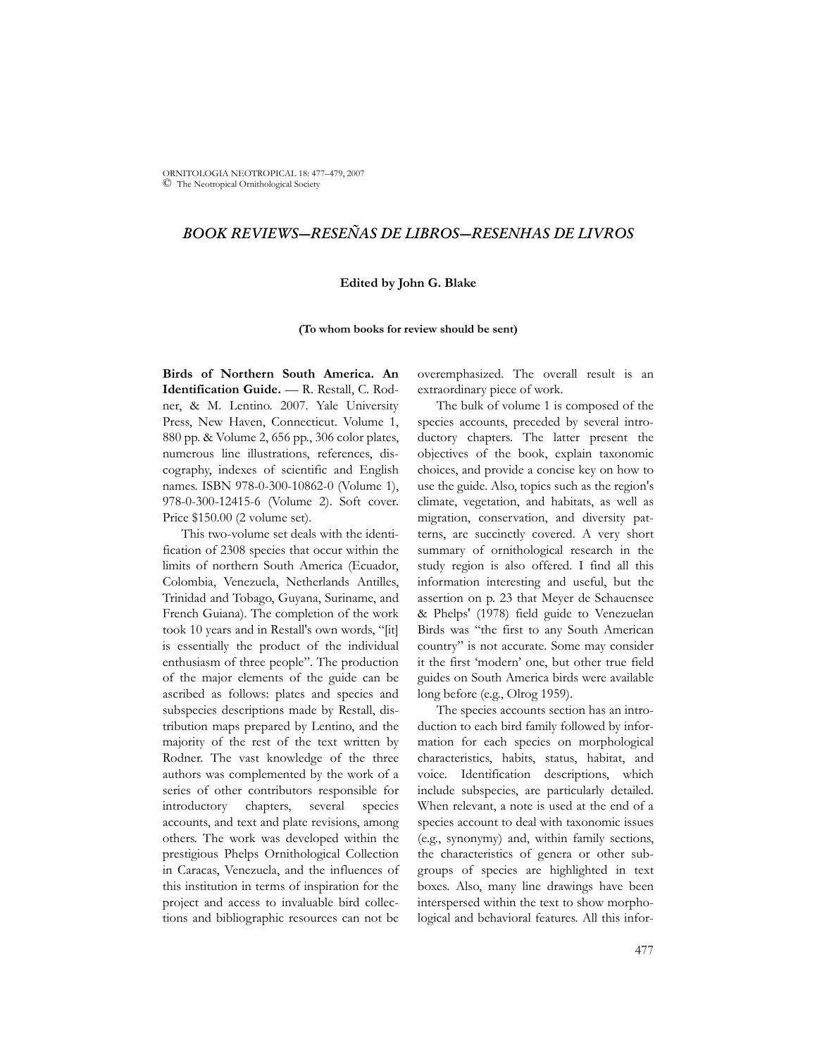ORNITOLOGIA NEOTROPICAL 18: 477–479, 2007 © The Neotropical Ornithological Society

## *BOOK REVIEWS—RESEÑAS DE LIBROS—RESENHAS DE LIVROS*

## **Edited by John G. Blake**

**(To whom books for review should be sent)**

**Birds of Northern South America. An Identification Guide.** — R. Restall, C. Rodner, & M. Lentino. 2007. Yale University Press, New Haven, Connecticut. Volume 1, 880 pp. & Volume 2, 656 pp., 306 color plates, numerous line illustrations, references, discography, indexes of scientific and English names. ISBN 978-0-300-10862-0 (Volume 1), 978-0-300-12415-6 (Volume 2). Soft cover. Price \$150.00 (2 volume set).

This two-volume set deals with the identification of 2308 species that occur within the limits of northern South America (Ecuador, Colombia, Venezuela, Netherlands Antilles, Trinidad and Tobago, Guyana, Suriname, and French Guiana). The completion of the work took 10 years and in Restall's own words, "[it] is essentially the product of the individual enthusiasm of three people". The production of the major elements of the guide can be ascribed as follows: plates and species and subspecies descriptions made by Restall, distribution maps prepared by Lentino, and the majority of the rest of the text written by Rodner. The vast knowledge of the three authors was complemented by the work of a series of other contributors responsible for introductory chapters, several species accounts, and text and plate revisions, among others. The work was developed within the prestigious Phelps Ornithological Collection in Caracas, Venezuela, and the influences of this institution in terms of inspiration for the project and access to invaluable bird collections and bibliographic resources can not be

overemphasized. The overall result is an extraordinary piece of work.

The bulk of volume 1 is composed of the species accounts, preceded by several introductory chapters. The latter present the objectives of the book, explain taxonomic choices, and provide a concise key on how to use the guide. Also, topics such as the region's climate, vegetation, and habitats, as well as migration, conservation, and diversity patterns, are succinctly covered. A very short summary of ornithological research in the study region is also offered. I find all this information interesting and useful, but the assertion on p. 23 that Meyer de Schauensee & Phelps' (1978) field guide to Venezuelan Birds was "the first to any South American country" is not accurate. Some may consider it the first 'modern' one, but other true field guides on South America birds were available long before (e.g., Olrog 1959).

The species accounts section has an introduction to each bird family followed by information for each species on morphological characteristics, habits, status, habitat, and voice. Identification descriptions, which include subspecies, are particularly detailed. When relevant, a note is used at the end of a species account to deal with taxonomic issues (e.g., synonymy) and, within family sections, the characteristics of genera or other subgroups of species are highlighted in text boxes. Also, many line drawings have been interspersed within the text to show morphological and behavioral features. All this infor-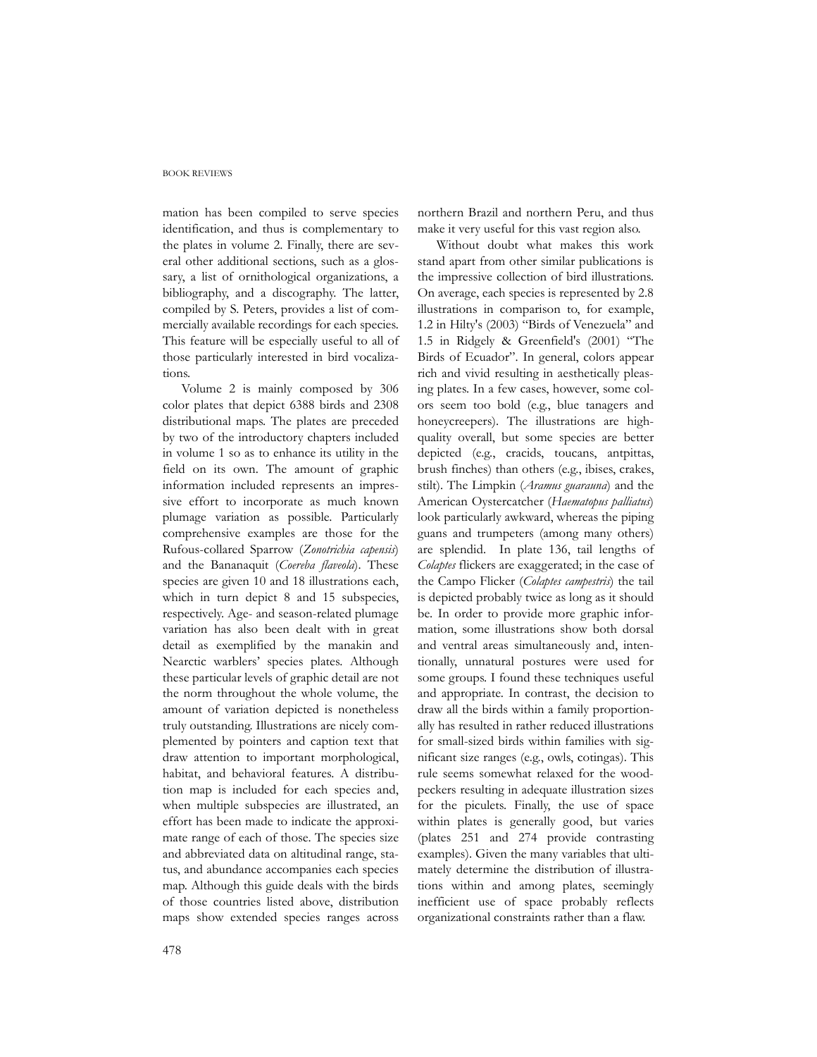## BOOK REVIEWS

mation has been compiled to serve species identification, and thus is complementary to the plates in volume 2. Finally, there are several other additional sections, such as a glossary, a list of ornithological organizations, a bibliography, and a discography. The latter, compiled by S. Peters, provides a list of commercially available recordings for each species. This feature will be especially useful to all of those particularly interested in bird vocalizations.

Volume 2 is mainly composed by 306 color plates that depict 6388 birds and 2308 distributional maps. The plates are preceded by two of the introductory chapters included in volume 1 so as to enhance its utility in the field on its own. The amount of graphic information included represents an impressive effort to incorporate as much known plumage variation as possible. Particularly comprehensive examples are those for the Rufous-collared Sparrow (*Zonotrichia capensis*) and the Bananaquit (*Coereba flaveola*). These species are given 10 and 18 illustrations each, which in turn depict 8 and 15 subspecies, respectively. Age- and season-related plumage variation has also been dealt with in great detail as exemplified by the manakin and Nearctic warblers' species plates. Although these particular levels of graphic detail are not the norm throughout the whole volume, the amount of variation depicted is nonetheless truly outstanding. Illustrations are nicely complemented by pointers and caption text that draw attention to important morphological, habitat, and behavioral features. A distribution map is included for each species and, when multiple subspecies are illustrated, an effort has been made to indicate the approximate range of each of those. The species size and abbreviated data on altitudinal range, status, and abundance accompanies each species map. Although this guide deals with the birds of those countries listed above, distribution maps show extended species ranges across

northern Brazil and northern Peru, and thus make it very useful for this vast region also.

Without doubt what makes this work stand apart from other similar publications is the impressive collection of bird illustrations. On average, each species is represented by 2.8 illustrations in comparison to, for example, 1.2 in Hilty's (2003) "Birds of Venezuela" and 1.5 in Ridgely & Greenfield's (2001) "The Birds of Ecuador". In general, colors appear rich and vivid resulting in aesthetically pleasing plates. In a few cases, however, some colors seem too bold (e.g., blue tanagers and honeycreepers). The illustrations are highquality overall, but some species are better depicted (e.g., cracids, toucans, antpittas, brush finches) than others (e.g., ibises, crakes, stilt). The Limpkin (*Aramus guarauna*) and the American Oystercatcher (*Haematopus palliatus*) look particularly awkward, whereas the piping guans and trumpeters (among many others) are splendid. In plate 136, tail lengths of *Colaptes* flickers are exaggerated; in the case of the Campo Flicker (*Colaptes campestris*) the tail is depicted probably twice as long as it should be. In order to provide more graphic information, some illustrations show both dorsal and ventral areas simultaneously and, intentionally, unnatural postures were used for some groups. I found these techniques useful and appropriate. In contrast, the decision to draw all the birds within a family proportionally has resulted in rather reduced illustrations for small-sized birds within families with significant size ranges (e.g., owls, cotingas). This rule seems somewhat relaxed for the woodpeckers resulting in adequate illustration sizes for the piculets. Finally, the use of space within plates is generally good, but varies (plates 251 and 274 provide contrasting examples). Given the many variables that ultimately determine the distribution of illustrations within and among plates, seemingly inefficient use of space probably reflects organizational constraints rather than a flaw.